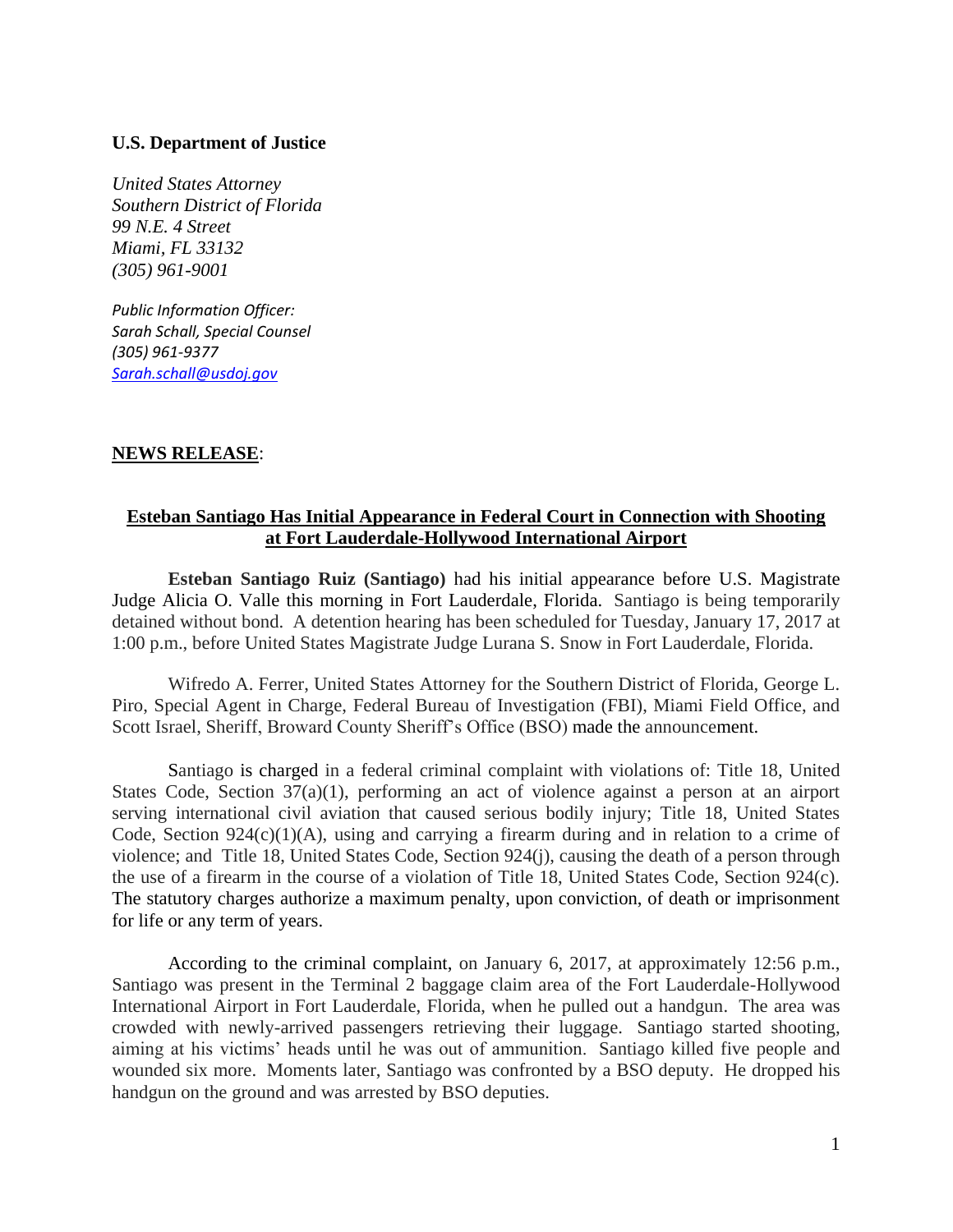## **U.S. Department of Justice**

*United States Attorney Southern District of Florida 99 N.E. 4 Street Miami, FL 33132 (305) 961-9001*

*Public Information Officer: Sarah Schall, Special Counsel (305) 961-9377 [Sarah.schall@usdoj.gov](mailto:Sarah.schall@usdoj.gov)*

## **NEWS RELEASE**:

## **Esteban Santiago Has Initial Appearance in Federal Court in Connection with Shooting at Fort Lauderdale-Hollywood International Airport**

**Esteban Santiago Ruiz (Santiago)** had his initial appearance before U.S. Magistrate Judge Alicia O. Valle this morning in Fort Lauderdale, Florida. Santiago is being temporarily detained without bond. A detention hearing has been scheduled for Tuesday, January 17, 2017 at 1:00 p.m., before United States Magistrate Judge Lurana S. Snow in Fort Lauderdale, Florida.

Wifredo A. Ferrer, United States Attorney for the Southern District of Florida, George L. Piro, Special Agent in Charge, Federal Bureau of Investigation (FBI), Miami Field Office, and Scott Israel, Sheriff, Broward County Sheriff's Office (BSO) made the announcement.

Santiago is charged in a federal criminal complaint with violations of: Title 18, United States Code, Section 37(a)(1), performing an act of violence against a person at an airport serving international civil aviation that caused serious bodily injury; Title 18, United States Code, Section  $924(c)(1)(A)$ , using and carrying a firearm during and in relation to a crime of violence; and Title 18, United States Code, Section 924(j), causing the death of a person through the use of a firearm in the course of a violation of Title 18, United States Code, Section 924(c). The statutory charges authorize a maximum penalty, upon conviction, of death or imprisonment for life or any term of years.

According to the criminal complaint, on January 6, 2017, at approximately 12:56 p.m., Santiago was present in the Terminal 2 baggage claim area of the Fort Lauderdale-Hollywood International Airport in Fort Lauderdale, Florida, when he pulled out a handgun. The area was crowded with newly-arrived passengers retrieving their luggage. Santiago started shooting, aiming at his victims' heads until he was out of ammunition. Santiago killed five people and wounded six more. Moments later, Santiago was confronted by a BSO deputy. He dropped his handgun on the ground and was arrested by BSO deputies.